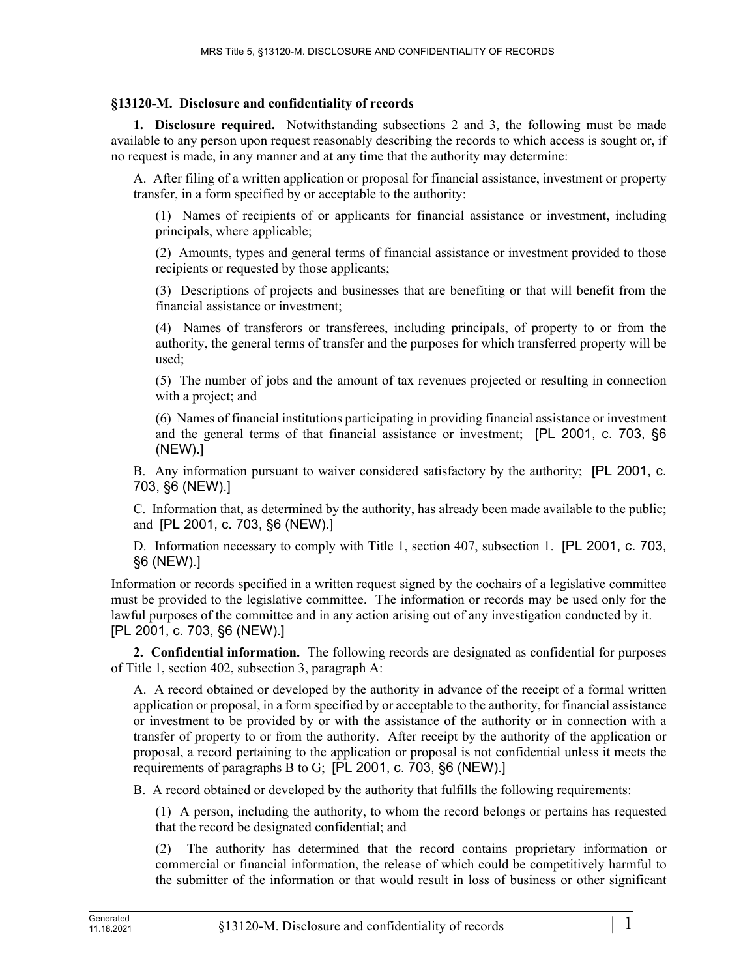## **§13120-M. Disclosure and confidentiality of records**

**1. Disclosure required.** Notwithstanding subsections 2 and 3, the following must be made available to any person upon request reasonably describing the records to which access is sought or, if no request is made, in any manner and at any time that the authority may determine:

A. After filing of a written application or proposal for financial assistance, investment or property transfer, in a form specified by or acceptable to the authority:

(1) Names of recipients of or applicants for financial assistance or investment, including principals, where applicable;

(2) Amounts, types and general terms of financial assistance or investment provided to those recipients or requested by those applicants;

(3) Descriptions of projects and businesses that are benefiting or that will benefit from the financial assistance or investment;

(4) Names of transferors or transferees, including principals, of property to or from the authority, the general terms of transfer and the purposes for which transferred property will be used;

(5) The number of jobs and the amount of tax revenues projected or resulting in connection with a project; and

(6) Names of financial institutions participating in providing financial assistance or investment and the general terms of that financial assistance or investment; [PL 2001, c. 703, §6 (NEW).]

B. Any information pursuant to waiver considered satisfactory by the authority; [PL 2001, c. 703, §6 (NEW).]

C. Information that, as determined by the authority, has already been made available to the public; and [PL 2001, c. 703, §6 (NEW).]

D. Information necessary to comply with Title 1, section 407, subsection 1. [PL 2001, c. 703, §6 (NEW).]

Information or records specified in a written request signed by the cochairs of a legislative committee must be provided to the legislative committee. The information or records may be used only for the lawful purposes of the committee and in any action arising out of any investigation conducted by it. [PL 2001, c. 703, §6 (NEW).]

**2. Confidential information.** The following records are designated as confidential for purposes of Title 1, section 402, subsection 3, paragraph A:

A. A record obtained or developed by the authority in advance of the receipt of a formal written application or proposal, in a form specified by or acceptable to the authority, for financial assistance or investment to be provided by or with the assistance of the authority or in connection with a transfer of property to or from the authority. After receipt by the authority of the application or proposal, a record pertaining to the application or proposal is not confidential unless it meets the requirements of paragraphs B to G; [PL 2001, c. 703, §6 (NEW).]

B. A record obtained or developed by the authority that fulfills the following requirements:

(1) A person, including the authority, to whom the record belongs or pertains has requested that the record be designated confidential; and

(2) The authority has determined that the record contains proprietary information or commercial or financial information, the release of which could be competitively harmful to the submitter of the information or that would result in loss of business or other significant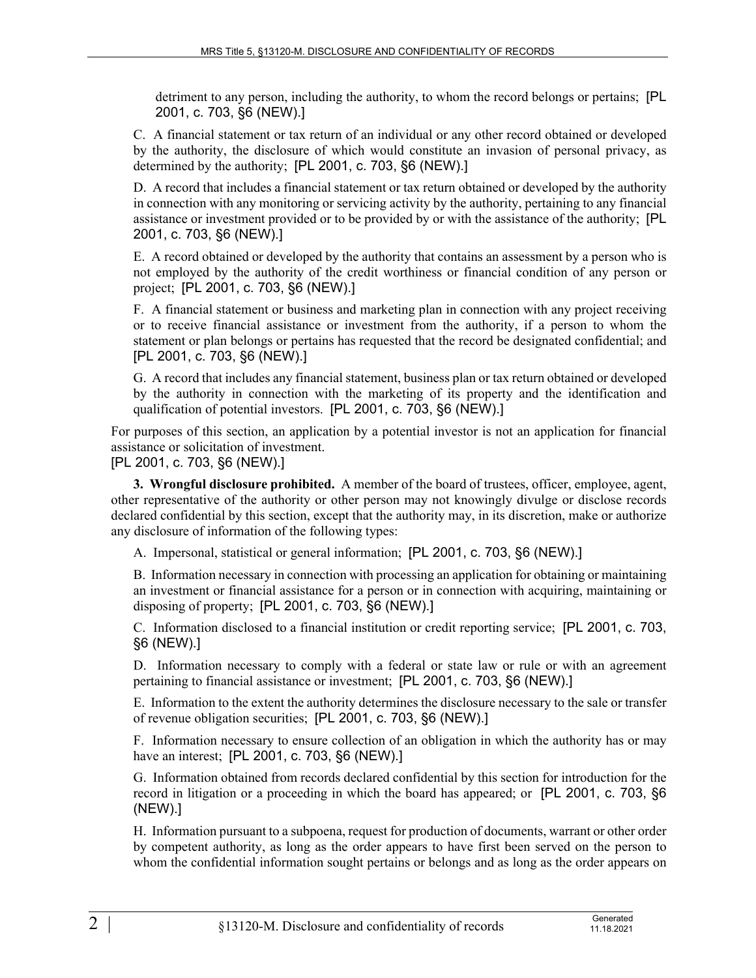detriment to any person, including the authority, to whom the record belongs or pertains; [PL 2001, c. 703, §6 (NEW).]

C. A financial statement or tax return of an individual or any other record obtained or developed by the authority, the disclosure of which would constitute an invasion of personal privacy, as determined by the authority; [PL 2001, c. 703, §6 (NEW).]

D. A record that includes a financial statement or tax return obtained or developed by the authority in connection with any monitoring or servicing activity by the authority, pertaining to any financial assistance or investment provided or to be provided by or with the assistance of the authority; [PL 2001, c. 703, §6 (NEW).]

E. A record obtained or developed by the authority that contains an assessment by a person who is not employed by the authority of the credit worthiness or financial condition of any person or project; [PL 2001, c. 703, §6 (NEW).]

F. A financial statement or business and marketing plan in connection with any project receiving or to receive financial assistance or investment from the authority, if a person to whom the statement or plan belongs or pertains has requested that the record be designated confidential; and [PL 2001, c. 703, §6 (NEW).]

G. A record that includes any financial statement, business plan or tax return obtained or developed by the authority in connection with the marketing of its property and the identification and qualification of potential investors. [PL 2001, c. 703, §6 (NEW).]

For purposes of this section, an application by a potential investor is not an application for financial assistance or solicitation of investment.

[PL 2001, c. 703, §6 (NEW).]

**3. Wrongful disclosure prohibited.** A member of the board of trustees, officer, employee, agent, other representative of the authority or other person may not knowingly divulge or disclose records declared confidential by this section, except that the authority may, in its discretion, make or authorize any disclosure of information of the following types:

A. Impersonal, statistical or general information; [PL 2001, c. 703, §6 (NEW).]

B. Information necessary in connection with processing an application for obtaining or maintaining an investment or financial assistance for a person or in connection with acquiring, maintaining or disposing of property; [PL 2001, c. 703, §6 (NEW).]

C. Information disclosed to a financial institution or credit reporting service; [PL 2001, c. 703, §6 (NEW).]

D. Information necessary to comply with a federal or state law or rule or with an agreement pertaining to financial assistance or investment; [PL 2001, c. 703, §6 (NEW).]

E. Information to the extent the authority determines the disclosure necessary to the sale or transfer of revenue obligation securities; [PL 2001, c. 703, §6 (NEW).]

F. Information necessary to ensure collection of an obligation in which the authority has or may have an interest; [PL 2001, c. 703, §6 (NEW).]

G. Information obtained from records declared confidential by this section for introduction for the record in litigation or a proceeding in which the board has appeared; or [PL 2001, c. 703, §6 (NEW).]

H. Information pursuant to a subpoena, request for production of documents, warrant or other order by competent authority, as long as the order appears to have first been served on the person to whom the confidential information sought pertains or belongs and as long as the order appears on